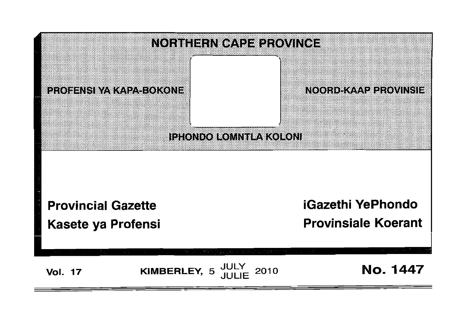